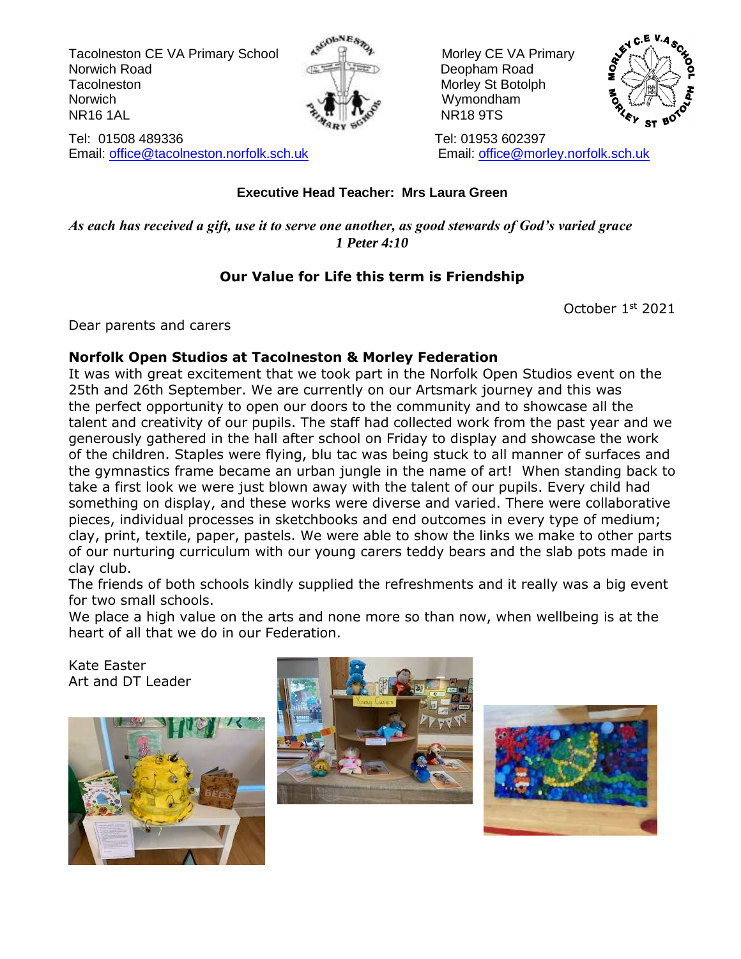Tacolneston CE VA Primary School Associates and Morley CE VA Primary Norwich Road **Deopham Road Deopham Road** Tacolneston Morley St Botolph Morley St Botolph Norwich Norwich **Wymondham** NR16 1AL NR18 9TS



Tel: 01508 489336 Tel: 01953 602397 Email: [office@tacolneston.norfolk.sch.uk](mailto:office@tacolneston.norfolk.sch.uk) Email: [office@morley.norfolk.sch.uk](mailto:office@morley.norfolk.sch.uk) 



#### **Executive Head Teacher: Mrs Laura Green**

*As each has received a gift, use it to serve one another, as good stewards of God's varied grace 1 Peter 4:10*

#### **Our Value for Life this term is Friendship**

October 1st 2021

Dear parents and carers

#### **Norfolk Open Studios at Tacolneston & Morley Federation**

It was with great excitement that we took part in the Norfolk Open Studios event on the 25th and 26th September. We are currently on our Artsmark journey and this was the perfect opportunity to open our doors to the community and to showcase all the talent and creativity of our pupils. The staff had collected work from the past year and we generously gathered in the hall after school on Friday to display and showcase the work of the children. Staples were flying, blu tac was being stuck to all manner of surfaces and the gymnastics frame became an urban jungle in the name of art! When standing back to take a first look we were just blown away with the talent of our pupils. Every child had something on display, and these works were diverse and varied. There were collaborative pieces, individual processes in sketchbooks and end outcomes in every type of medium; clay, print, textile, paper, pastels. We were able to show the links we make to other parts of our nurturing curriculum with our young carers teddy bears and the slab pots made in clay club.

The friends of both schools kindly supplied the refreshments and it really was a big event for two small schools.

We place a high value on the arts and none more so than now, when wellbeing is at the heart of all that we do in our Federation.

Kate Easter Art and DT Leader





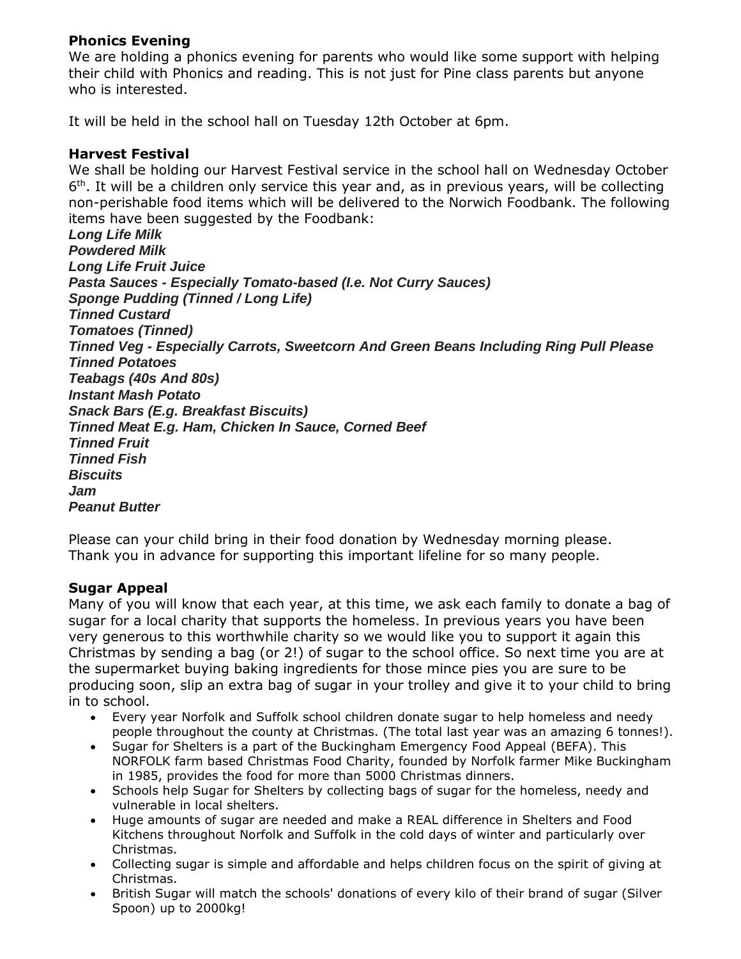#### **Phonics Evening**

We are holding a phonics evening for parents who would like some support with helping their child with Phonics and reading. This is not just for Pine class parents but anyone who is interested.

It will be held in the school hall on Tuesday 12th October at 6pm.

#### **Harvest Festival**

We shall be holding our Harvest Festival service in the school hall on Wednesday October 6<sup>th</sup>. It will be a children only service this year and, as in previous years, will be collecting non-perishable food items which will be delivered to the Norwich Foodbank. The following items have been suggested by the Foodbank:

*Long Life Milk Powdered Milk Long Life Fruit Juice Pasta Sauces - Especially Tomato-based (I.e. Not Curry Sauces) Sponge Pudding (Tinned / Long Life) Tinned Custard Tomatoes (Tinned) Tinned Veg - Especially Carrots, Sweetcorn And Green Beans Including Ring Pull Please Tinned Potatoes Teabags (40s And 80s) Instant Mash Potato Snack Bars (E.g. Breakfast Biscuits) Tinned Meat E.g. Ham, Chicken In Sauce, Corned Beef Tinned Fruit Tinned Fish Biscuits Jam Peanut Butter*

Please can your child bring in their food donation by Wednesday morning please. Thank you in advance for supporting this important lifeline for so many people.

#### **Sugar Appeal**

Many of you will know that each year, at this time, we ask each family to donate a bag of sugar for a local charity that supports the homeless. In previous years you have been very generous to this worthwhile charity so we would like you to support it again this Christmas by sending a bag (or 2!) of sugar to the school office. So next time you are at the supermarket buying baking ingredients for those mince pies you are sure to be producing soon, slip an extra bag of sugar in your trolley and give it to your child to bring in to school.

- Every year Norfolk and Suffolk school children donate sugar to help homeless and needy people throughout the county at Christmas. (The total last year was an amazing 6 tonnes!).
- Sugar for Shelters is a part of the Buckingham Emergency Food Appeal (BEFA). This NORFOLK farm based Christmas Food Charity, founded by Norfolk farmer Mike Buckingham in 1985, provides the food for more than 5000 Christmas dinners.
- Schools help Sugar for Shelters by collecting bags of sugar for the homeless, needy and vulnerable in local shelters.
- Huge amounts of sugar are needed and make a REAL difference in Shelters and Food Kitchens throughout Norfolk and Suffolk in the cold days of winter and particularly over Christmas.
- Collecting sugar is simple and affordable and helps children focus on the spirit of giving at Christmas.
- British Sugar will match the schools' donations of every kilo of their brand of sugar (Silver Spoon) up to 2000kg!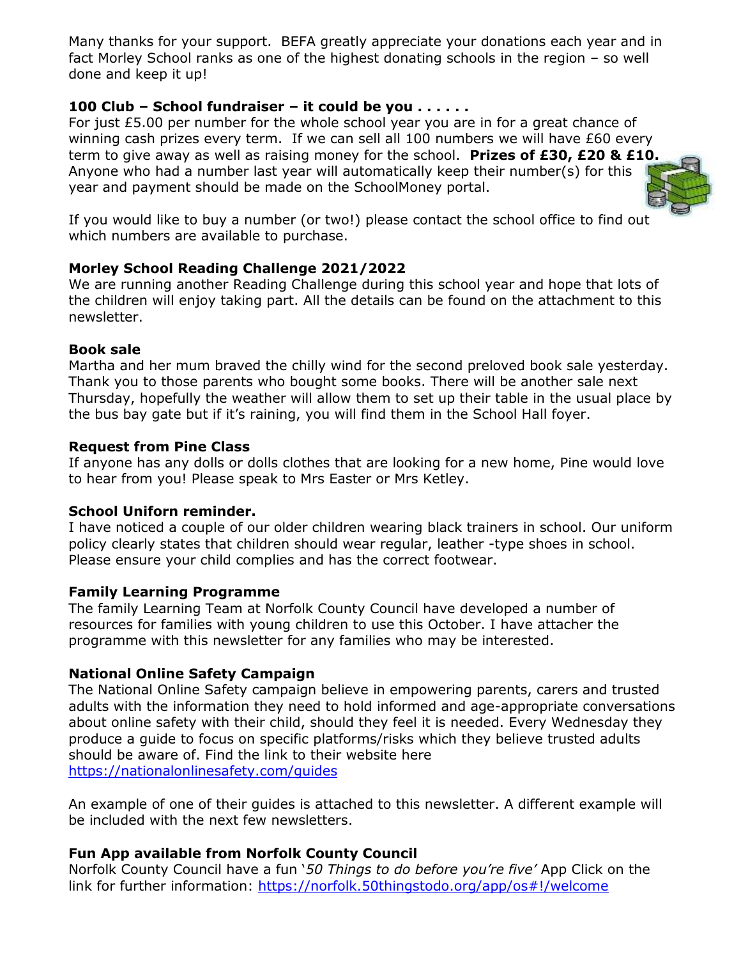Many thanks for your support. BEFA greatly appreciate your donations each year and in fact Morley School ranks as one of the highest donating schools in the region – so well done and keep it up!

#### **100 Club – School fundraiser – it could be you . . . . . .**

For just £5.00 per number for the whole school year you are in for a great chance of winning cash prizes every term. If we can sell all 100 numbers we will have £60 every term to give away as well as raising money for the school. **Prizes of £30, £20 & £10.** Anyone who had a number last year will automatically keep their number(s) for this year and payment should be made on the SchoolMoney portal.



If you would like to buy a number (or two!) please contact the school office to find out which numbers are available to purchase.

#### **Morley School Reading Challenge 2021/2022**

We are running another Reading Challenge during this school year and hope that lots of the children will enjoy taking part. All the details can be found on the attachment to this newsletter.

#### **Book sale**

Martha and her mum braved the chilly wind for the second preloved book sale yesterday. Thank you to those parents who bought some books. There will be another sale next Thursday, hopefully the weather will allow them to set up their table in the usual place by the bus bay gate but if it's raining, you will find them in the School Hall foyer.

#### **Request from Pine Class**

If anyone has any dolls or dolls clothes that are looking for a new home, Pine would love to hear from you! Please speak to Mrs Easter or Mrs Ketley.

#### **School Uniforn reminder.**

I have noticed a couple of our older children wearing black trainers in school. Our uniform policy clearly states that children should wear regular, leather -type shoes in school. Please ensure your child complies and has the correct footwear.

#### **Family Learning Programme**

The family Learning Team at Norfolk County Council have developed a number of resources for families with young children to use this October. I have attacher the programme with this newsletter for any families who may be interested.

#### **National Online Safety Campaign**

The National Online Safety campaign believe in empowering parents, carers and trusted adults with the information they need to hold informed and age-appropriate conversations about online safety with their child, should they feel it is needed. Every Wednesday they produce a guide to focus on specific platforms/risks which they believe trusted adults should be aware of. Find the link to their website here <https://nationalonlinesafety.com/guides>

An example of one of their guides is attached to this newsletter. A different example will be included with the next few newsletters.

#### **Fun App available from Norfolk County Council**

Norfolk County Council have a fun '*50 Things to do before you're five'* App Click on the link for further information: <https://norfolk.50thingstodo.org/app/os#!/welcome>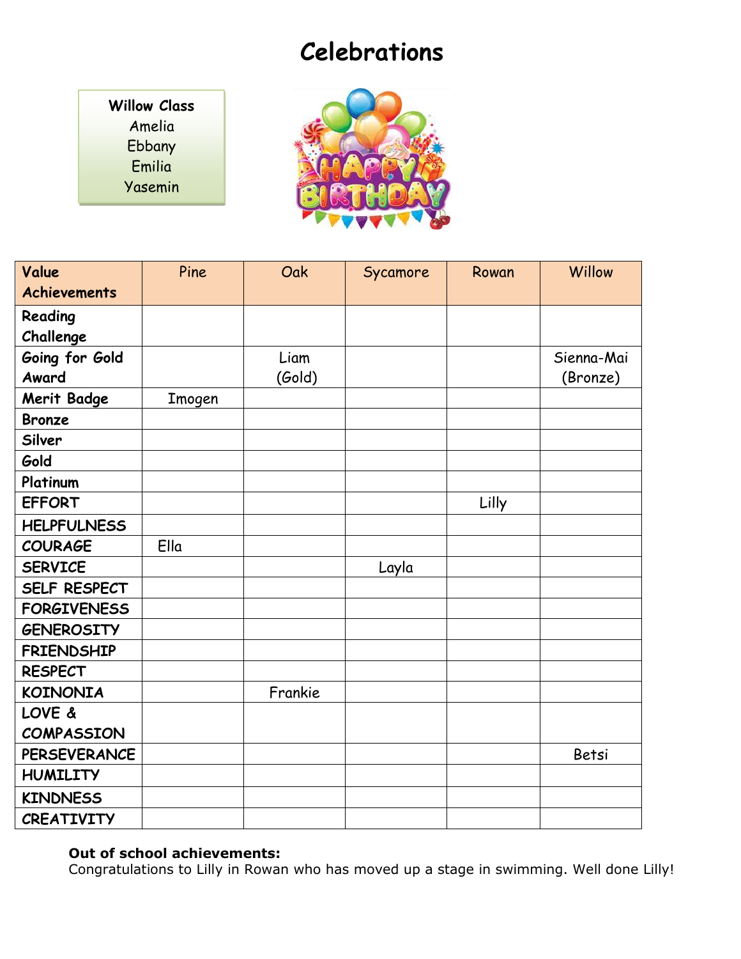### **Celebrations**

**Willow Class** Amelia Ebbany Emilia Yasemin



| Value               | Pine   | Oak     | Sycamore | Rowan | Willow     |
|---------------------|--------|---------|----------|-------|------------|
| <b>Achievements</b> |        |         |          |       |            |
| Reading             |        |         |          |       |            |
| Challenge           |        |         |          |       |            |
| Going for Gold      |        | Liam    |          |       | Sienna-Mai |
| Award               |        | (Gold)  |          |       | (Bronze)   |
| <b>Merit Badge</b>  | Imogen |         |          |       |            |
| <b>Bronze</b>       |        |         |          |       |            |
| Silver              |        |         |          |       |            |
| Gold                |        |         |          |       |            |
| Platinum            |        |         |          |       |            |
| <b>EFFORT</b>       |        |         |          | Lilly |            |
| <b>HELPFULNESS</b>  |        |         |          |       |            |
| <b>COURAGE</b>      | Ella   |         |          |       |            |
| <b>SERVICE</b>      |        |         | Layla    |       |            |
| SELF RESPECT        |        |         |          |       |            |
| <b>FORGIVENESS</b>  |        |         |          |       |            |
| <b>GENEROSITY</b>   |        |         |          |       |            |
| <b>FRIENDSHIP</b>   |        |         |          |       |            |
| <b>RESPECT</b>      |        |         |          |       |            |
| <b>KOINONIA</b>     |        | Frankie |          |       |            |
| LOVE &              |        |         |          |       |            |
| <b>COMPASSION</b>   |        |         |          |       |            |
| <b>PERSEVERANCE</b> |        |         |          |       | Betsi      |
| <b>HUMILITY</b>     |        |         |          |       |            |
| <b>KINDNESS</b>     |        |         |          |       |            |
| <b>CREATIVITY</b>   |        |         |          |       |            |

#### **Out of school achievements:**

Congratulations to Lilly in Rowan who has moved up a stage in swimming. Well done Lilly!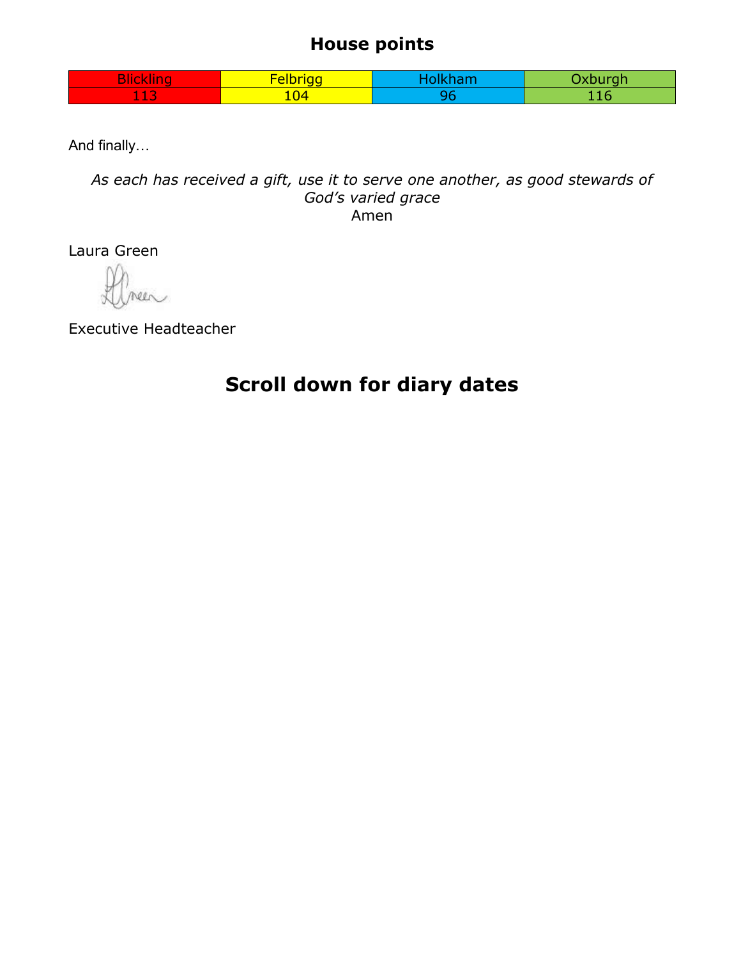### **House points**

| $\sim$<br><b>COLLEGE</b><br>нс<br><b>KIIIK.</b> | <b>Example 1</b><br>÷<br>-- | vahu mah |
|-------------------------------------------------|-----------------------------|----------|
| $\sim$<br>$  -$                                 | $\sqrt{04}$                 |          |

And finally…

*As each has received a gift, use it to serve one another, as good stewards of God's varied grace* Amen

Laura Green

Executive Headteacher

### **Scroll down for diary dates**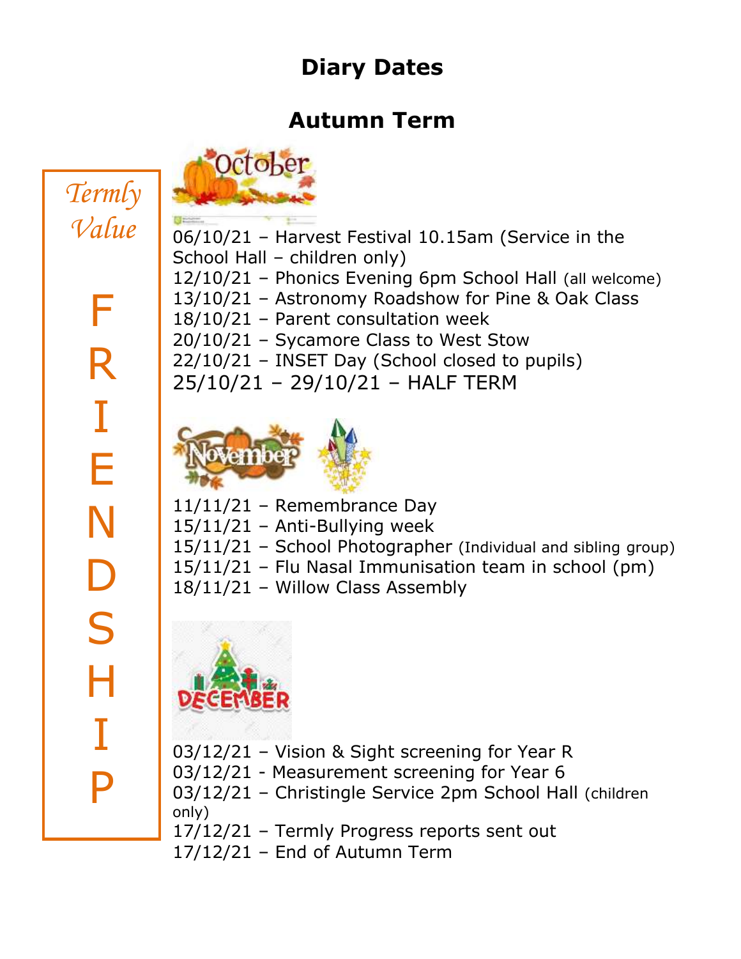## **Diary Dates**

### **Autumn Term**

# *Termly Value*

F R I E N D S H I P

06/10/21 – Harvest Festival 10.15am (Service in the School Hall – children only) 12/10/21 – Phonics Evening 6pm School Hall (all welcome) 13/10/21 – Astronomy Roadshow for Pine & Oak Class 18/10/21 – Parent consultation week 20/10/21 – Sycamore Class to West Stow 22/10/21 – INSET Day (School closed to pupils) 25/10/21 – 29/10/21 – HALF TERM

11/11/21 – Remembrance Day

October

- $15/11/21$  Anti-Bullying week
- 15/11/21 School Photographer (Individual and sibling group)
- 15/11/21 Flu Nasal Immunisation team in school (pm)
- 18/11/21 Willow Class Assembly



- 03/12/21 Vision & Sight screening for Year R
- 03/12/21 Measurement screening for Year 6
- 03/12/21 Christingle Service 2pm School Hall (children only)

17/12/21 – Termly Progress reports sent out

17/12/21 – End of Autumn Term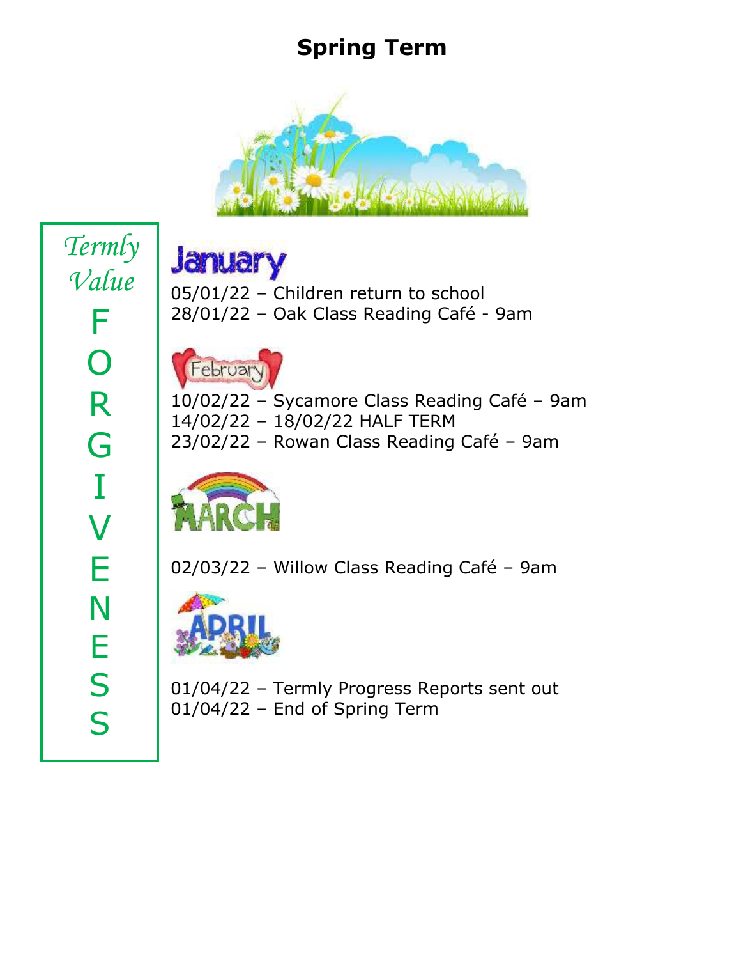### **Spring Term**



*Termly Value* F O R G I V E N E S S

**January** 05/01/22 – Children return to school 28/01/22 – Oak Class Reading Café - 9am



10/02/22 – Sycamore Class Reading Café – 9am 14/02/22 – 18/02/22 HALF TERM 23/02/22 – Rowan Class Reading Café – 9am



02/03/22 – Willow Class Reading Café – 9am



01/04/22 – Termly Progress Reports sent out 01/04/22 – End of Spring Term